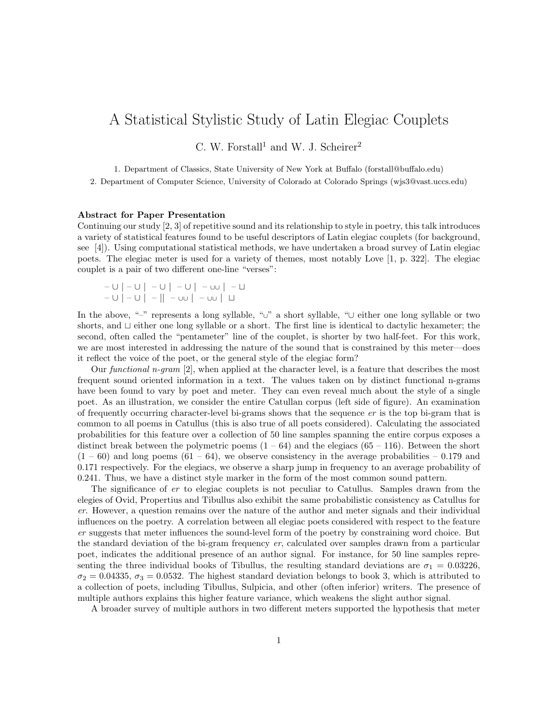## A Statistical Stylistic Study of Latin Elegiac Couplets

C. W. Forstall<sup>1</sup> and W. J. Scheirer<sup>2</sup>

1. Department of Classics, State University of New York at Buffalo (forstall@buffalo.edu)

2. Department of Computer Science, University of Colorado at Colorado Springs (wjs3@vast.uccs.edu)

## Abstract for Paper Presentation

Continuing our study [2, 3] of repetitive sound and its relationship to style in poetry, this talk introduces a variety of statistical features found to be useful descriptors of Latin elegiac couplets (for background, see [4]). Using computational statistical methods, we have undertaken a broad survey of Latin elegiac poets. The elegiac meter is used for a variety of themes, most notably Love [1, p. 322]. The elegiac couplet is a pair of two different one-line "verses":

– ∪ | – ∪ | – ∪ | – ∪ | – ∪∪ | – t – ∪ | – ∪ | – || – ∪∪ | – ∪∪ | t

In the above, "–" represents a long syllable, "∪" a short syllable, "∪ either one long syllable or two shorts, and  $\sqcup$  either one long syllable or a short. The first line is identical to dactylic hexameter; the second, often called the "pentameter" line of the couplet, is shorter by two half-feet. For this work, we are most interested in addressing the nature of the sound that is constrained by this meter—does it reflect the voice of the poet, or the general style of the elegiac form?

Our functional n-gram  $[2]$ , when applied at the character level, is a feature that describes the most frequent sound oriented information in a text. The values taken on by distinct functional n-grams have been found to vary by poet and meter. They can even reveal much about the style of a single poet. As an illustration, we consider the entire Catullan corpus (left side of figure). An examination of frequently occurring character-level bi-grams shows that the sequence er is the top bi-gram that is common to all poems in Catullus (this is also true of all poets considered). Calculating the associated probabilities for this feature over a collection of 50 line samples spanning the entire corpus exposes a distinct break between the polymetric poems  $(1 - 64)$  and the elegiacs  $(65 - 116)$ . Between the short  $(1 - 60)$  and long poems  $(61 - 64)$ , we observe consistency in the average probabilities  $-0.179$  and 0.171 respectively. For the elegiacs, we observe a sharp jump in frequency to an average probability of 0.241. Thus, we have a distinct style marker in the form of the most common sound pattern.

The significance of er to elegiac couplets is not peculiar to Catullus. Samples drawn from the elegies of Ovid, Propertius and Tibullus also exhibit the same probabilistic consistency as Catullus for er. However, a question remains over the nature of the author and meter signals and their individual influences on the poetry. A correlation between all elegiac poets considered with respect to the feature er suggests that meter influences the sound-level form of the poetry by constraining word choice. But the standard deviation of the bi-gram frequency er, calculated over samples drawn from a particular poet, indicates the additional presence of an author signal. For instance, for 50 line samples representing the three individual books of Tibullus, the resulting standard deviations are  $\sigma_1 = 0.03226$ ,  $\sigma_2 = 0.04335$ ,  $\sigma_3 = 0.0532$ . The highest standard deviation belongs to book 3, which is attributed to a collection of poets, including Tibullus, Sulpicia, and other (often inferior) writers. The presence of multiple authors explains this higher feature variance, which weakens the slight author signal.

A broader survey of multiple authors in two different meters supported the hypothesis that meter